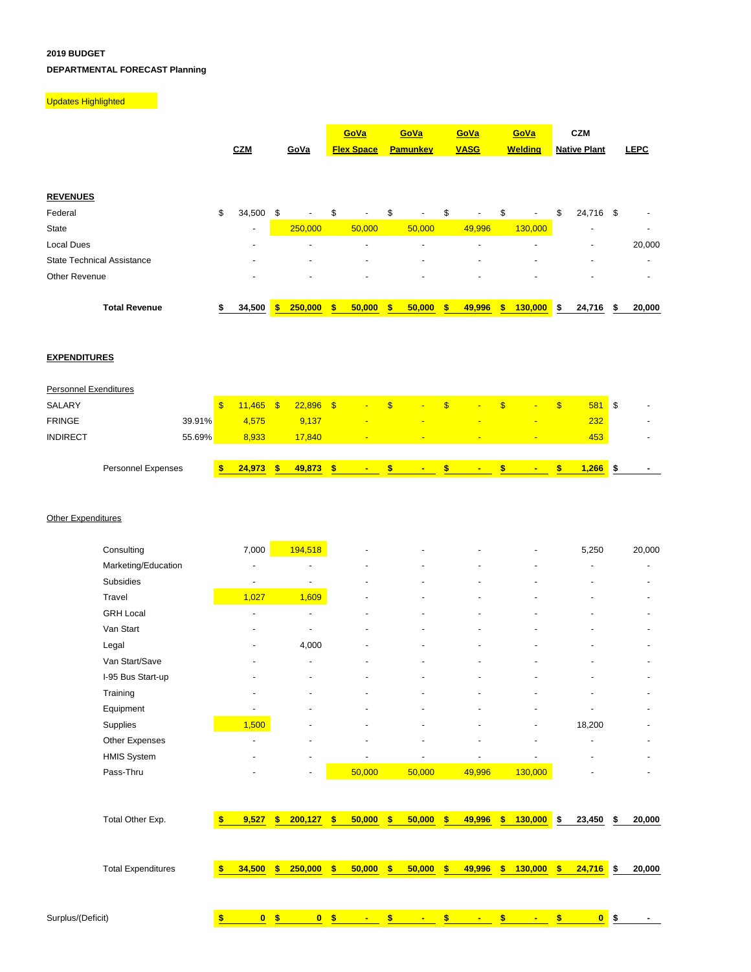## **2019 BUDGET DEPARTMENTAL FORECAST Planning**

## **Updates Highlighted**

|                                   | <b>CZM</b>               |    | GoVa                     | GoVa<br><b>Flex Space</b>      | GoVa<br><b>Pamunkey</b>        | GoVa<br><b>VASG</b>      | GoVa<br><b>Welding</b>         |    | CZM<br><b>Native Plant</b> |   | <b>LEPC</b> |
|-----------------------------------|--------------------------|----|--------------------------|--------------------------------|--------------------------------|--------------------------|--------------------------------|----|----------------------------|---|-------------|
| <b>REVENUES</b>                   |                          |    |                          |                                |                                |                          |                                |    |                            |   |             |
| Federal                           | \$<br>34,500             | \$ | ٠                        | \$<br>$\overline{\phantom{a}}$ | \$<br>$\overline{\phantom{a}}$ | \$<br>$\sim$             | \$<br>$\overline{\phantom{a}}$ | \$ | 24,716 \$                  |   |             |
| State                             | $\overline{\phantom{a}}$ |    | 250,000                  | 50,000                         | 50,000                         | 49,996                   | 130,000                        |    | $\overline{\phantom{a}}$   |   |             |
| Local Dues                        | -                        |    | $\overline{a}$           | ۰                              | -                              | $\overline{a}$           | -                              |    | ٠                          |   | 20,000      |
| <b>State Technical Assistance</b> |                          |    | $\overline{\phantom{a}}$ | -                              | ۰                              | $\overline{\phantom{a}}$ | -                              |    | ٠                          |   |             |
| Other Revenue                     | $\overline{\phantom{0}}$ |    | ٠                        | -                              |                                | $\overline{\phantom{a}}$ | ٠                              |    | -                          |   |             |
| <b>Total Revenue</b>              | 34,500                   | s  | 250,000                  | \$<br>50,000                   | 50,000                         | 49,996                   | \$<br>130,000                  | S  | 24,716                     | S | 20,000      |

## **EXPENDITURES**

|                       | Personnel Expenses | 24.973      | S. | 49,873      | <b>COLLEGE</b>           |      | <b>COLLEGE</b> | $\blacksquare$  | $\blacksquare$           |     | 1.266 |      |  |
|-----------------------|--------------------|-------------|----|-------------|--------------------------|------|----------------|-----------------|--------------------------|-----|-------|------|--|
|                       |                    |             |    |             |                          |      |                |                 |                          |     |       |      |  |
| <b>INDIRECT</b>       | 55.69%             | 8.933       |    | 17.840      | $\overline{\phantom{a}}$ |      | <b>CONTENT</b> | -               | $\overline{\phantom{a}}$ |     | 453   |      |  |
| <b>FRINGE</b>         | 39.91%             | 4.575       |    | 9,137       | $\overline{\phantom{a}}$ |      | <b>CONTENT</b> | <b>Extended</b> | -                        |     | 232   |      |  |
| SALARY                |                    | $11,465$ \$ |    | $22,896$ \$ | $\sim$                   | - \$ | $\sim$         | $\blacksquare$  | $\overline{\phantom{a}}$ | \$. | 581   | l \$ |  |
| Personnel Exenditures |                    |             |    |             |                          |      |                |                 |                          |     |       |      |  |

## **Other Expenditures**

| Consulting          | 7,000                    | 194,518                  | $\blacksquare$           | ۰                        | $\overline{\phantom{a}}$ | ٠                        | 5,250                    | 20,000 |
|---------------------|--------------------------|--------------------------|--------------------------|--------------------------|--------------------------|--------------------------|--------------------------|--------|
| Marketing/Education |                          | $\overline{\phantom{a}}$ | $\overline{\phantom{a}}$ | $\overline{\phantom{a}}$ |                          | $\overline{\phantom{a}}$ |                          |        |
| Subsidies           | $\overline{\phantom{a}}$ | ٠                        | ٠                        | ۰                        |                          | $\blacksquare$           |                          |        |
| Travel              | 1,027                    | 1,609                    | $\overline{\phantom{a}}$ | $\overline{\phantom{a}}$ | $\overline{\phantom{a}}$ | $\overline{\phantom{a}}$ |                          |        |
| <b>GRH Local</b>    | $\blacksquare$           | $\overline{\phantom{a}}$ | ٠                        | ٠                        | $\overline{\phantom{a}}$ | $\blacksquare$           | $\overline{\phantom{a}}$ |        |
| Van Start           |                          | ٠                        | $\overline{\phantom{0}}$ | $\blacksquare$           | $\overline{\phantom{a}}$ | $\blacksquare$           |                          |        |
| Legal               |                          | 4,000                    | ٠                        | $\blacksquare$           | $\overline{\phantom{a}}$ | $\overline{\phantom{a}}$ |                          |        |
| Van Start/Save      |                          | $\overline{\phantom{a}}$ | ٠                        | $\blacksquare$           | $\overline{\phantom{a}}$ | $\overline{\phantom{a}}$ |                          |        |
| I-95 Bus Start-up   |                          | $\overline{\phantom{a}}$ | ٠                        | $\overline{\phantom{a}}$ |                          | $\overline{\phantom{a}}$ |                          |        |
| Training            |                          |                          | $\overline{\phantom{a}}$ | ٠                        |                          |                          |                          |        |
| Equipment           | $\overline{\phantom{a}}$ | $\overline{\phantom{a}}$ | ٠                        | $\overline{\phantom{a}}$ |                          | $\overline{\phantom{a}}$ |                          |        |
| Supplies            | 1,500                    | $\overline{\phantom{a}}$ | $\overline{\phantom{a}}$ | $\overline{\phantom{a}}$ | $\overline{\phantom{0}}$ | $\overline{\phantom{a}}$ | 18,200                   |        |
| Other Expenses      |                          | $\overline{\phantom{a}}$ | ٠                        | ٠                        |                          | $\overline{\phantom{a}}$ |                          |        |
| <b>HMIS System</b>  | ۰                        | ٠                        |                          | ۰                        | $\overline{\phantom{a}}$ |                          |                          |        |
| Pass-Thru           |                          | $\overline{\phantom{a}}$ | 50,000                   | 50,000                   | 49,996                   | 130,000                  |                          |        |

| Total Other Exp.          | 9,527        | <b>S</b> | 200,127      | s.             | 50,000      | - \$ | 50,000 | S.   | 49,996 | \$ | $130,000$ \$   |     | 23,450         | \$<br>20,000 |
|---------------------------|--------------|----------|--------------|----------------|-------------|------|--------|------|--------|----|----------------|-----|----------------|--------------|
|                           |              |          |              |                |             |      |        |      |        |    |                |     |                |              |
| <b>Total Expenditures</b> | 34,500       | s.       | 250,000      | $\blacksquare$ | $50,000$ \$ |      | 50,000 | - \$ | 49,996 | s. | 130,000        | \$. | $24,716$ \$    | 20,000       |
|                           |              |          |              |                |             |      |        |      |        |    |                |     |                |              |
| Surplus/(Deficit)         | $\mathbf{0}$ |          | $\mathbf{0}$ | S.             | $\sim$      |      | $\sim$ | S    | $\sim$ |    | $\blacksquare$ |     | 0 <sup>5</sup> |              |